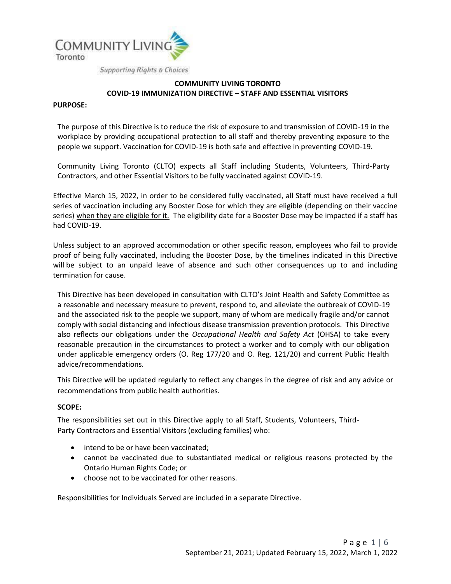

# **COMMUNITY LIVING TORONTO COVID-19 IMMUNIZATION DIRECTIVE – STAFF AND ESSENTIAL VISITORS**

#### **PURPOSE:**

The purpose of this Directive is to reduce the risk of exposure to and transmission of COVID-19 in the workplace by providing occupational protection to all staff and thereby preventing exposure to the people we support. Vaccination for COVID-19 is both safe and effective in preventing COVID-19.

Community Living Toronto (CLTO) expects all Staff including Students, Volunteers, Third-Party Contractors, and other Essential Visitors to be fully vaccinated against COVID-19.

Effective March 15, 2022, in order to be considered fully vaccinated, all Staff must have received a full series of vaccination including any Booster Dose for which they are eligible (depending on their vaccine series) when they are eligible for it. The eligibility date for a Booster Dose may be impacted if a staff has had COVID-19.

Unless subject to an approved accommodation or other specific reason, employees who fail to provide proof of being fully vaccinated, including the Booster Dose, by the timelines indicated in this Directive will be subject to an unpaid leave of absence and such other consequences up to and including termination for cause.

This Directive has been developed in consultation with CLTO's Joint Health and Safety Committee as a reasonable and necessary measure to prevent, respond to, and alleviate the outbreak of COVID-19 and the associated risk to the people we support, many of whom are medically fragile and/or cannot comply with social distancing and infectious disease transmission prevention protocols. This Directive also reflects our obligations under the *Occupational Health and Safety Act* (OHSA) to take every reasonable precaution in the circumstances to protect a worker and to comply with our obligation under applicable emergency orders (O. Reg 177/20 and O. Reg. 121/20) and current Public Health advice/recommendations.

This Directive will be updated regularly to reflect any changes in the degree of risk and any advice or recommendations from public health authorities.

## **SCOPE:**

The responsibilities set out in this Directive apply to all Staff, Students, Volunteers, Third-Party Contractors and Essential Visitors (excluding families) who:

- intend to be or have been vaccinated:
- cannot be vaccinated due to substantiated medical or religious reasons protected by the Ontario Human Rights Code; or
- choose not to be vaccinated for other reasons.

Responsibilities for Individuals Served are included in a separate Directive.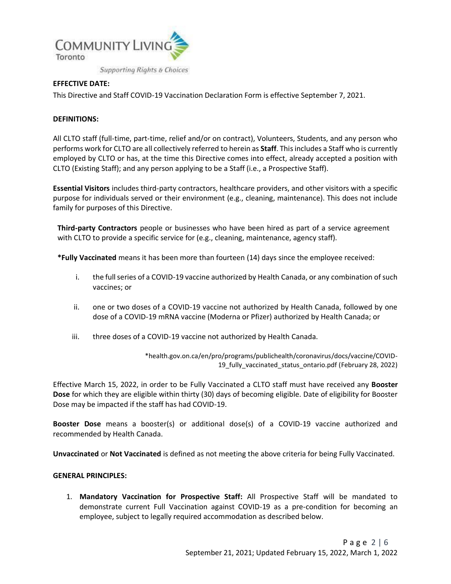

# **EFFECTIVE DATE:**

This Directive and Staff COVID-19 Vaccination Declaration Form is effective September 7, 2021.

#### **DEFINITIONS:**

All CLTO staff (full-time, part-time, relief and/or on contract), Volunteers, Students, and any person who performs work for CLTO are all collectively referred to herein as **Staff**. This includes a Staff who is currently employed by CLTO or has, at the time this Directive comes into effect, already accepted a position with CLTO (Existing Staff); and any person applying to be a Staff (i.e., a Prospective Staff).

**Essential Visitors** includes third-party contractors, healthcare providers, and other visitors with a specific purpose for individuals served or their environment (e.g., cleaning, maintenance). This does not include family for purposes of this Directive.

**Third-party Contractors** people or businesses who have been hired as part of a service agreement with CLTO to provide a specific service for (e.g., cleaning, maintenance, agency staff).

**\*Fully Vaccinated** means it has been more than fourteen (14) days since the employee received:

- i. the full series of a COVID-19 vaccine authorized by Health Canada, or any combination of such vaccines; or
- ii. one or two doses of a COVID-19 vaccine not authorized by Health Canada, followed by one dose of a COVID-19 mRNA vaccine (Moderna or Pfizer) authorized by Health Canada; or
- iii. three doses of a COVID-19 vaccine not authorized by Health Canada.

\*health.gov.on.ca/en/pro/programs/publichealth/coronavirus/docs/vaccine/COVID-19\_fully\_vaccinated\_status\_ontario.pdf (February 28, 2022)

Effective March 15, 2022, in order to be Fully Vaccinated a CLTO staff must have received any **Booster Dose** for which they are eligible within thirty (30) days of becoming eligible. Date of eligibility for Booster Dose may be impacted if the staff has had COVID-19.

**Booster Dose** means a booster(s) or additional dose(s) of a COVID-19 vaccine authorized and recommended by Health Canada.

**Unvaccinated** or **Not Vaccinated** is defined as not meeting the above criteria for being Fully Vaccinated.

#### **GENERAL PRINCIPLES:**

1. **Mandatory Vaccination for Prospective Staff:** All Prospective Staff will be mandated to demonstrate current Full Vaccination against COVID-19 as a pre-condition for becoming an employee, subject to legally required accommodation as described below.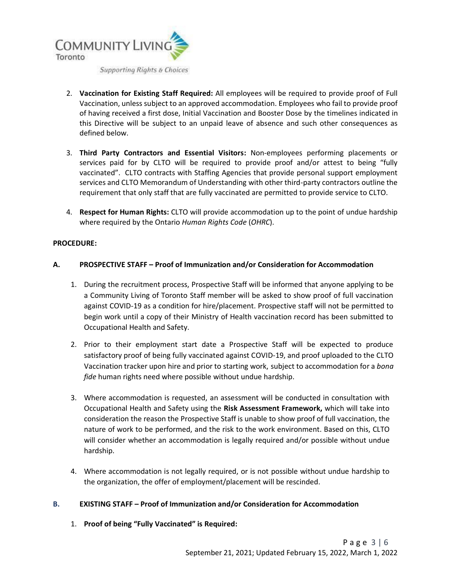

- 2. **Vaccination for Existing Staff Required:** All employees will be required to provide proof of Full Vaccination, unless subject to an approved accommodation. Employees who fail to provide proof of having received a first dose, Initial Vaccination and Booster Dose by the timelines indicated in this Directive will be subject to an unpaid leave of absence and such other consequences as defined below.
- 3. **Third Party Contractors and Essential Visitors:** Non-employees performing placements or services paid for by CLTO will be required to provide proof and/or attest to being "fully vaccinated". CLTO contracts with Staffing Agencies that provide personal support employment services and CLTO Memorandum of Understanding with other third-party contractors outline the requirement that only staff that are fully vaccinated are permitted to provide service to CLTO.
- 4. **Respect for Human Rights:** CLTO will provide accommodation up to the point of undue hardship where required by the Ontario *Human Rights Code* (*OHRC*).

## **PROCEDURE:**

# **A. PROSPECTIVE STAFF – Proof of Immunization and/or Consideration for Accommodation**

- 1. During the recruitment process, Prospective Staff will be informed that anyone applying to be a Community Living of Toronto Staff member will be asked to show proof of full vaccination against COVID-19 as a condition for hire/placement. Prospective staff will not be permitted to begin work until a copy of their Ministry of Health vaccination record has been submitted to Occupational Health and Safety.
- 2. Prior to their employment start date a Prospective Staff will be expected to produce satisfactory proof of being fully vaccinated against COVID-19, and proof uploaded to the CLTO Vaccination tracker upon hire and prior to starting work, subject to accommodation for a *bona fide* human rights need where possible without undue hardship.
- 3. Where accommodation is requested, an assessment will be conducted in consultation with Occupational Health and Safety using the **Risk Assessment Framework,** which will take into consideration the reason the Prospective Staff is unable to show proof of full vaccination, the nature of work to be performed, and the risk to the work environment. Based on this, CLTO will consider whether an accommodation is legally required and/or possible without undue hardship.
- 4. Where accommodation is not legally required, or is not possible without undue hardship to the organization, the offer of employment/placement will be rescinded.

## **B. EXISTING STAFF – Proof of Immunization and/or Consideration for Accommodation**

1. **Proof of being "Fully Vaccinated" is Required:**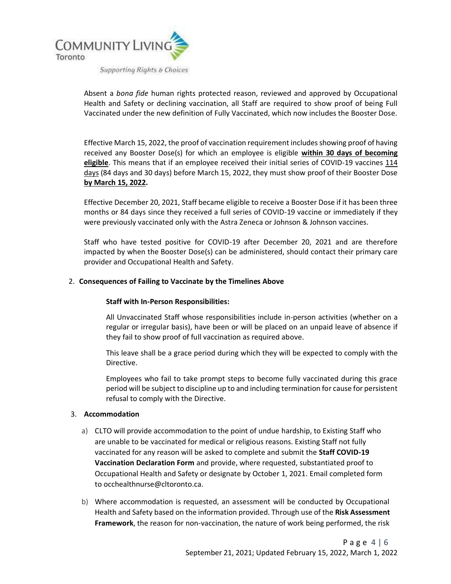

Absent a *bona fide* human rights protected reason, reviewed and approved by Occupational Health and Safety or declining vaccination, all Staff are required to show proof of being Full Vaccinated under the new definition of Fully Vaccinated, which now includes the Booster Dose.

Effective March 15, 2022, the proof of vaccination requirement includes showing proof of having received any Booster Dose(s) for which an employee is eligible **within 30 days of becoming eligible**. This means that if an employee received their initial series of COVID-19 vaccines 114 days (84 days and 30 days) before March 15, 2022, they must show proof of their Booster Dose **by March 15, 2022.** 

Effective December 20, 2021, Staff became eligible to receive a Booster Dose if it has been three months or 84 days since they received a full series of COVID-19 vaccine or immediately if they were previously vaccinated only with the Astra Zeneca or Johnson & Johnson vaccines.

Staff who have tested positive for COVID-19 after December 20, 2021 and are therefore impacted by when the Booster Dose(s) can be administered, should contact their primary care provider and Occupational Health and Safety.

# 2. **Consequences of Failing to Vaccinate by the Timelines Above**

## **Staff with In-Person Responsibilities:**

All Unvaccinated Staff whose responsibilities include in-person activities (whether on a regular or irregular basis), have been or will be placed on an unpaid leave of absence if they fail to show proof of full vaccination as required above.

This leave shall be a grace period during which they will be expected to comply with the Directive.

Employees who fail to take prompt steps to become fully vaccinated during this grace period will be subject to discipline up to and including termination for cause for persistent refusal to comply with the Directive.

## 3. **Accommodation**

- a) CLTO will provide accommodation to the point of undue hardship, to Existing Staff who are unable to be vaccinated for medical or religious reasons. Existing Staff not fully vaccinated for any reason will be asked to complete and submit the **Staff COVID-19 Vaccination Declaration Form** and provide, where requested, substantiated proof to Occupational Health and Safety or designate by October 1, 2021. Email completed form t[o occhealthnurse@cltoronto.ca.](mailto:occhealthnurse@cltoronto.ca)
- b) Where accommodation is requested, an assessment will be conducted by Occupational Health and Safety based on the information provided. Through use of the **Risk Assessment Framework**, the reason for non-vaccination, the nature of work being performed, the risk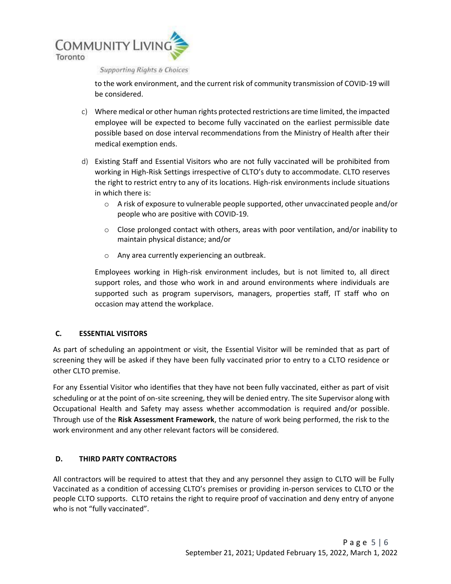

**Supporting Rights & Choices** 

to the work environment, and the current risk of community transmission of COVID-19 will be considered.

- c) Where medical or other human rights protected restrictions are time limited, the impacted employee will be expected to become fully vaccinated on the earliest permissible date possible based on dose interval recommendations from the Ministry of Health after their medical exemption ends.
- d) Existing Staff and Essential Visitors who are not fully vaccinated will be prohibited from working in High-Risk Settings irrespective of CLTO's duty to accommodate. CLTO reserves the right to restrict entry to any of its locations. High-risk environments include situations in which there is:
	- $\circ$  A risk of exposure to vulnerable people supported, other unvaccinated people and/or people who are positive with COVID-19.
	- $\circ$  Close prolonged contact with others, areas with poor ventilation, and/or inability to maintain physical distance; and/or
	- o Any area currently experiencing an outbreak.

Employees working in High-risk environment includes, but is not limited to, all direct support roles, and those who work in and around environments where individuals are supported such as program supervisors, managers, properties staff, IT staff who on occasion may attend the workplace.

## **C. ESSENTIAL VISITORS**

As part of scheduling an appointment or visit, the Essential Visitor will be reminded that as part of screening they will be asked if they have been fully vaccinated prior to entry to a CLTO residence or other CLTO premise.

For any Essential Visitor who identifies that they have not been fully vaccinated, either as part of visit scheduling or at the point of on-site screening, they will be denied entry. The site Supervisor along with Occupational Health and Safety may assess whether accommodation is required and/or possible. Through use of the **Risk Assessment Framework**, the nature of work being performed, the risk to the work environment and any other relevant factors will be considered.

## **D. THIRD PARTY CONTRACTORS**

All contractors will be required to attest that they and any personnel they assign to CLTO will be Fully Vaccinated as a condition of accessing CLTO's premises or providing in-person services to CLTO or the people CLTO supports. CLTO retains the right to require proof of vaccination and deny entry of anyone who is not "fully vaccinated".